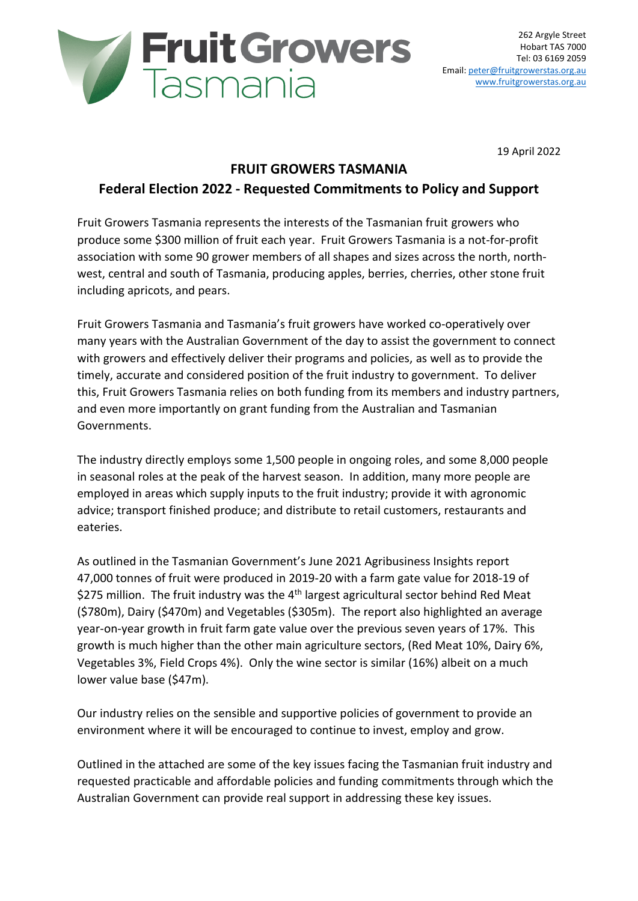

19 April 2022

#### **FRUIT GROWERS TASMANIA**

## **Federal Election 2022 - Requested Commitments to Policy and Support**

Fruit Growers Tasmania represents the interests of the Tasmanian fruit growers who produce some \$300 million of fruit each year. Fruit Growers Tasmania is a not-for-profit association with some 90 grower members of all shapes and sizes across the north, northwest, central and south of Tasmania, producing apples, berries, cherries, other stone fruit including apricots, and pears.

Fruit Growers Tasmania and Tasmania's fruit growers have worked co-operatively over many years with the Australian Government of the day to assist the government to connect with growers and effectively deliver their programs and policies, as well as to provide the timely, accurate and considered position of the fruit industry to government. To deliver this, Fruit Growers Tasmania relies on both funding from its members and industry partners, and even more importantly on grant funding from the Australian and Tasmanian Governments.

The industry directly employs some 1,500 people in ongoing roles, and some 8,000 people in seasonal roles at the peak of the harvest season. In addition, many more people are employed in areas which supply inputs to the fruit industry; provide it with agronomic advice; transport finished produce; and distribute to retail customers, restaurants and eateries.

As outlined in the Tasmanian Government's June 2021 Agribusiness Insights report 47,000 tonnes of fruit were produced in 2019-20 with a farm gate value for 2018-19 of \$275 million. The fruit industry was the  $4<sup>th</sup>$  largest agricultural sector behind Red Meat (\$780m), Dairy (\$470m) and Vegetables (\$305m). The report also highlighted an average year-on-year growth in fruit farm gate value over the previous seven years of 17%. This growth is much higher than the other main agriculture sectors, (Red Meat 10%, Dairy 6%, Vegetables 3%, Field Crops 4%). Only the wine sector is similar (16%) albeit on a much lower value base (\$47m).

Our industry relies on the sensible and supportive policies of government to provide an environment where it will be encouraged to continue to invest, employ and grow.

Outlined in the attached are some of the key issues facing the Tasmanian fruit industry and requested practicable and affordable policies and funding commitments through which the Australian Government can provide real support in addressing these key issues.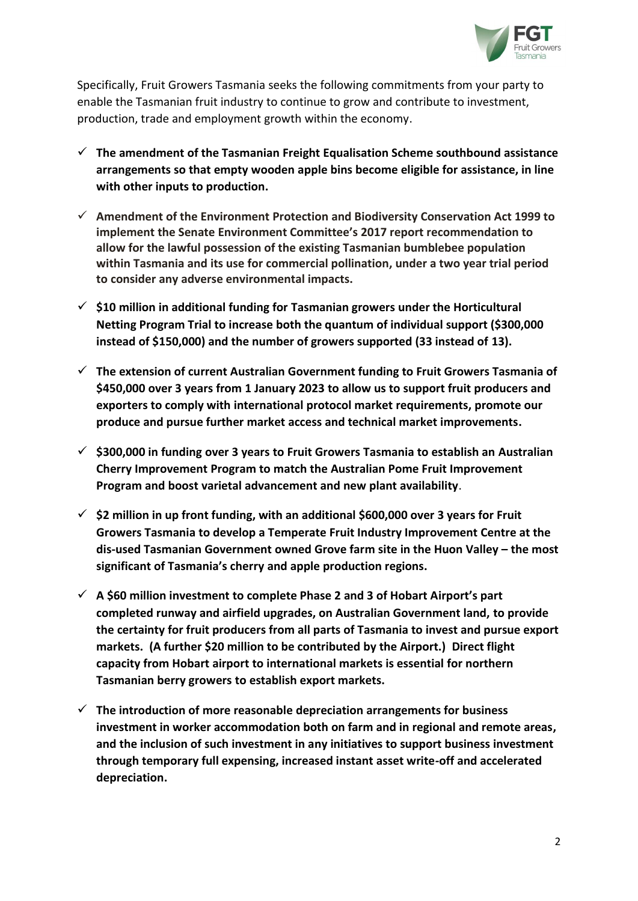

Specifically, Fruit Growers Tasmania seeks the following commitments from your party to enable the Tasmanian fruit industry to continue to grow and contribute to investment, production, trade and employment growth within the economy.

- **The amendment of the Tasmanian Freight Equalisation Scheme southbound assistance arrangements so that empty wooden apple bins become eligible for assistance, in line with other inputs to production.**
- **Amendment of the Environment Protection and Biodiversity Conservation Act 1999 to implement the Senate Environment Committee's 2017 report recommendation to allow for the lawful possession of the existing Tasmanian bumblebee population within Tasmania and its use for commercial pollination, under a two year trial period to consider any adverse environmental impacts.**
- **\$10 million in additional funding for Tasmanian growers under the Horticultural Netting Program Trial to increase both the quantum of individual support (\$300,000 instead of \$150,000) and the number of growers supported (33 instead of 13).**
- **The extension of current Australian Government funding to Fruit Growers Tasmania of \$450,000 over 3 years from 1 January 2023 to allow us to support fruit producers and exporters to comply with international protocol market requirements, promote our produce and pursue further market access and technical market improvements.**
- **\$300,000 in funding over 3 years to Fruit Growers Tasmania to establish an Australian Cherry Improvement Program to match the Australian Pome Fruit Improvement Program and boost varietal advancement and new plant availability**.
- **\$2 million in up front funding, with an additional \$600,000 over 3 years for Fruit Growers Tasmania to develop a Temperate Fruit Industry Improvement Centre at the dis-used Tasmanian Government owned Grove farm site in the Huon Valley – the most significant of Tasmania's cherry and apple production regions.**
- **A \$60 million investment to complete Phase 2 and 3 of Hobart Airport's part completed runway and airfield upgrades, on Australian Government land, to provide the certainty for fruit producers from all parts of Tasmania to invest and pursue export markets. (A further \$20 million to be contributed by the Airport.) Direct flight capacity from Hobart airport to international markets is essential for northern Tasmanian berry growers to establish export markets.**
- **The introduction of more reasonable depreciation arrangements for business investment in worker accommodation both on farm and in regional and remote areas, and the inclusion of such investment in any initiatives to support business investment through temporary full expensing, increased instant asset write-off and accelerated depreciation.**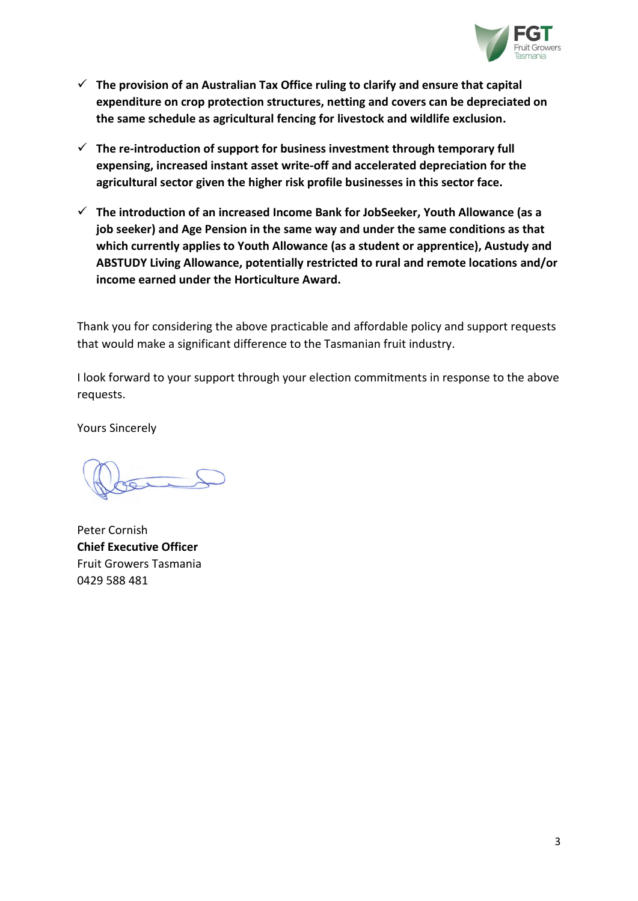

- **The provision of an Australian Tax Office ruling to clarify and ensure that capital expenditure on crop protection structures, netting and covers can be depreciated on the same schedule as agricultural fencing for livestock and wildlife exclusion.**
- **The re-introduction of support for business investment through temporary full expensing, increased instant asset write-off and accelerated depreciation for the agricultural sector given the higher risk profile businesses in this sector face.**
- **The introduction of an increased Income Bank for JobSeeker, Youth Allowance (as a job seeker) and Age Pension in the same way and under the same conditions as that which currently applies to Youth Allowance (as a student or apprentice), Austudy and ABSTUDY Living Allowance, potentially restricted to rural and remote locations and/or income earned under the Horticulture Award.**

Thank you for considering the above practicable and affordable policy and support requests that would make a significant difference to the Tasmanian fruit industry.

I look forward to your support through your election commitments in response to the above requests.

Yours Sincerely

Peter Cornish **Chief Executive Officer** Fruit Growers Tasmania 0429 588 481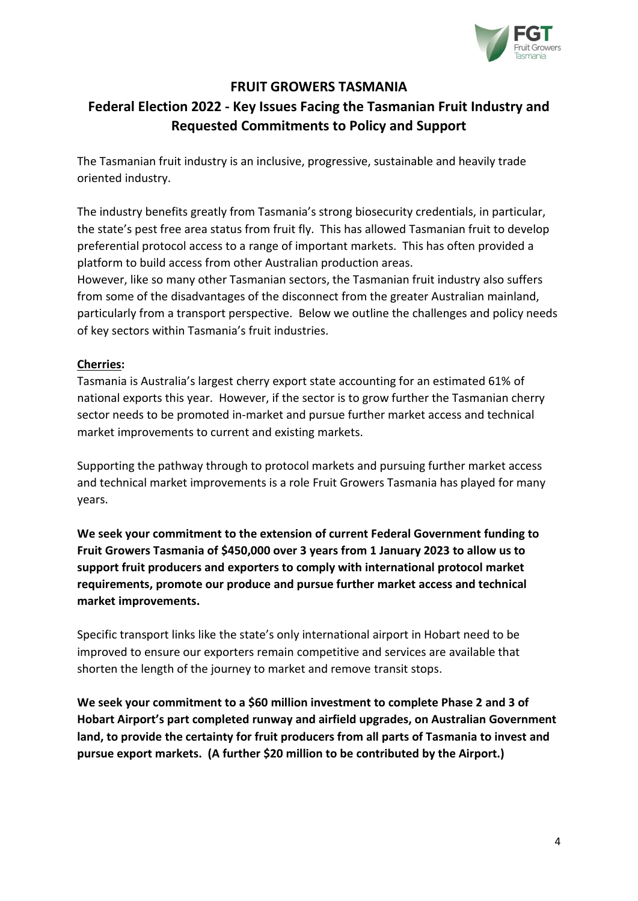

## **FRUIT GROWERS TASMANIA**

# **Federal Election 2022 - Key Issues Facing the Tasmanian Fruit Industry and Requested Commitments to Policy and Support**

The Tasmanian fruit industry is an inclusive, progressive, sustainable and heavily trade oriented industry.

The industry benefits greatly from Tasmania's strong biosecurity credentials, in particular, the state's pest free area status from fruit fly. This has allowed Tasmanian fruit to develop preferential protocol access to a range of important markets. This has often provided a platform to build access from other Australian production areas.

However, like so many other Tasmanian sectors, the Tasmanian fruit industry also suffers from some of the disadvantages of the disconnect from the greater Australian mainland, particularly from a transport perspective. Below we outline the challenges and policy needs of key sectors within Tasmania's fruit industries.

#### **Cherries:**

Tasmania is Australia's largest cherry export state accounting for an estimated 61% of national exports this year. However, if the sector is to grow further the Tasmanian cherry sector needs to be promoted in-market and pursue further market access and technical market improvements to current and existing markets.

Supporting the pathway through to protocol markets and pursuing further market access and technical market improvements is a role Fruit Growers Tasmania has played for many years.

**We seek your commitment to the extension of current Federal Government funding to Fruit Growers Tasmania of \$450,000 over 3 years from 1 January 2023 to allow us to support fruit producers and exporters to comply with international protocol market requirements, promote our produce and pursue further market access and technical market improvements.**

Specific transport links like the state's only international airport in Hobart need to be improved to ensure our exporters remain competitive and services are available that shorten the length of the journey to market and remove transit stops.

**We seek your commitment to a \$60 million investment to complete Phase 2 and 3 of Hobart Airport's part completed runway and airfield upgrades, on Australian Government land, to provide the certainty for fruit producers from all parts of Tasmania to invest and pursue export markets. (A further \$20 million to be contributed by the Airport.)**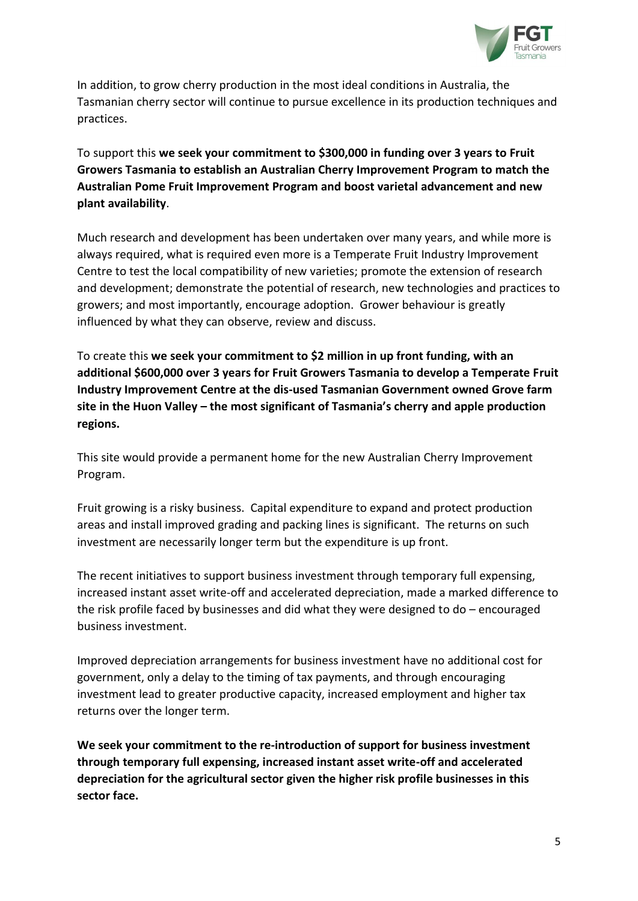

In addition, to grow cherry production in the most ideal conditions in Australia, the Tasmanian cherry sector will continue to pursue excellence in its production techniques and practices.

To support this **we seek your commitment to \$300,000 in funding over 3 years to Fruit Growers Tasmania to establish an Australian Cherry Improvement Program to match the Australian Pome Fruit Improvement Program and boost varietal advancement and new plant availability**.

Much research and development has been undertaken over many years, and while more is always required, what is required even more is a Temperate Fruit Industry Improvement Centre to test the local compatibility of new varieties; promote the extension of research and development; demonstrate the potential of research, new technologies and practices to growers; and most importantly, encourage adoption. Grower behaviour is greatly influenced by what they can observe, review and discuss.

To create this **we seek your commitment to \$2 million in up front funding, with an additional \$600,000 over 3 years for Fruit Growers Tasmania to develop a Temperate Fruit Industry Improvement Centre at the dis-used Tasmanian Government owned Grove farm site in the Huon Valley – the most significant of Tasmania's cherry and apple production regions.**

This site would provide a permanent home for the new Australian Cherry Improvement Program.

Fruit growing is a risky business. Capital expenditure to expand and protect production areas and install improved grading and packing lines is significant. The returns on such investment are necessarily longer term but the expenditure is up front.

The recent initiatives to support business investment through temporary full expensing, increased instant asset write-off and accelerated depreciation, made a marked difference to the risk profile faced by businesses and did what they were designed to do – encouraged business investment.

Improved depreciation arrangements for business investment have no additional cost for government, only a delay to the timing of tax payments, and through encouraging investment lead to greater productive capacity, increased employment and higher tax returns over the longer term.

**We seek your commitment to the re-introduction of support for business investment through temporary full expensing, increased instant asset write-off and accelerated depreciation for the agricultural sector given the higher risk profile businesses in this sector face.**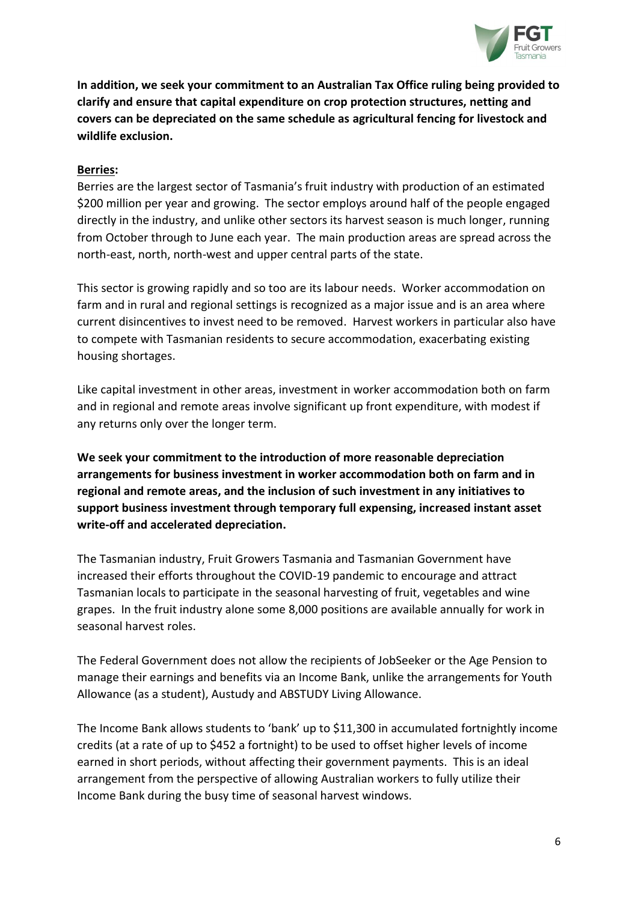

**In addition, we seek your commitment to an Australian Tax Office ruling being provided to clarify and ensure that capital expenditure on crop protection structures, netting and covers can be depreciated on the same schedule as agricultural fencing for livestock and wildlife exclusion.** 

#### **Berries:**

Berries are the largest sector of Tasmania's fruit industry with production of an estimated \$200 million per year and growing. The sector employs around half of the people engaged directly in the industry, and unlike other sectors its harvest season is much longer, running from October through to June each year. The main production areas are spread across the north-east, north, north-west and upper central parts of the state.

This sector is growing rapidly and so too are its labour needs. Worker accommodation on farm and in rural and regional settings is recognized as a major issue and is an area where current disincentives to invest need to be removed. Harvest workers in particular also have to compete with Tasmanian residents to secure accommodation, exacerbating existing housing shortages.

Like capital investment in other areas, investment in worker accommodation both on farm and in regional and remote areas involve significant up front expenditure, with modest if any returns only over the longer term.

**We seek your commitment to the introduction of more reasonable depreciation arrangements for business investment in worker accommodation both on farm and in regional and remote areas, and the inclusion of such investment in any initiatives to support business investment through temporary full expensing, increased instant asset write-off and accelerated depreciation.**

The Tasmanian industry, Fruit Growers Tasmania and Tasmanian Government have increased their efforts throughout the COVID-19 pandemic to encourage and attract Tasmanian locals to participate in the seasonal harvesting of fruit, vegetables and wine grapes. In the fruit industry alone some 8,000 positions are available annually for work in seasonal harvest roles.

The Federal Government does not allow the recipients of JobSeeker or the Age Pension to manage their earnings and benefits via an Income Bank, unlike the arrangements for Youth Allowance (as a student), Austudy and ABSTUDY Living Allowance.

The Income Bank allows students to 'bank' up to \$11,300 in accumulated fortnightly income credits (at a rate of up to \$452 a fortnight) to be used to offset higher levels of income earned in short periods, without affecting their government payments. This is an ideal arrangement from the perspective of allowing Australian workers to fully utilize their Income Bank during the busy time of seasonal harvest windows.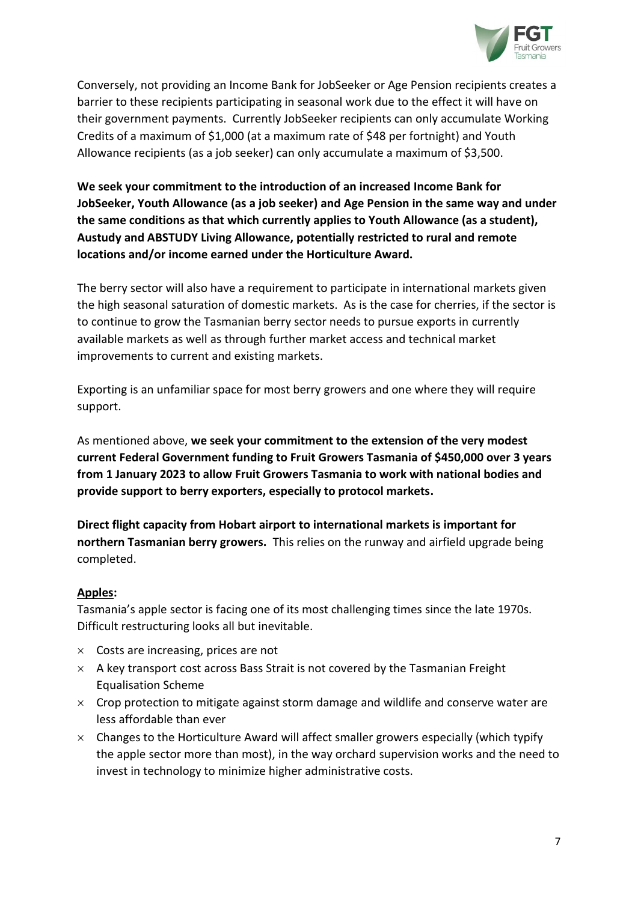

Conversely, not providing an Income Bank for JobSeeker or Age Pension recipients creates a barrier to these recipients participating in seasonal work due to the effect it will have on their government payments. Currently JobSeeker recipients can only accumulate Working Credits of a maximum of \$1,000 (at a maximum rate of \$48 per fortnight) and Youth Allowance recipients (as a job seeker) can only accumulate a maximum of \$3,500.

**We seek your commitment to the introduction of an increased Income Bank for JobSeeker, Youth Allowance (as a job seeker) and Age Pension in the same way and under the same conditions as that which currently applies to Youth Allowance (as a student), Austudy and ABSTUDY Living Allowance, potentially restricted to rural and remote locations and/or income earned under the Horticulture Award.**

The berry sector will also have a requirement to participate in international markets given the high seasonal saturation of domestic markets. As is the case for cherries, if the sector is to continue to grow the Tasmanian berry sector needs to pursue exports in currently available markets as well as through further market access and technical market improvements to current and existing markets.

Exporting is an unfamiliar space for most berry growers and one where they will require support.

As mentioned above, **we seek your commitment to the extension of the very modest current Federal Government funding to Fruit Growers Tasmania of \$450,000 over 3 years from 1 January 2023 to allow Fruit Growers Tasmania to work with national bodies and provide support to berry exporters, especially to protocol markets.**

**Direct flight capacity from Hobart airport to international markets is important for northern Tasmanian berry growers.** This relies on the runway and airfield upgrade being completed.

#### **Apples:**

Tasmania's apple sector is facing one of its most challenging times since the late 1970s. Difficult restructuring looks all but inevitable.

- $\times$  Costs are increasing, prices are not
- $\times$  A key transport cost across Bass Strait is not covered by the Tasmanian Freight Equalisation Scheme
- $\times$  Crop protection to mitigate against storm damage and wildlife and conserve water are less affordable than ever
- $\times$  Changes to the Horticulture Award will affect smaller growers especially (which typify the apple sector more than most), in the way orchard supervision works and the need to invest in technology to minimize higher administrative costs.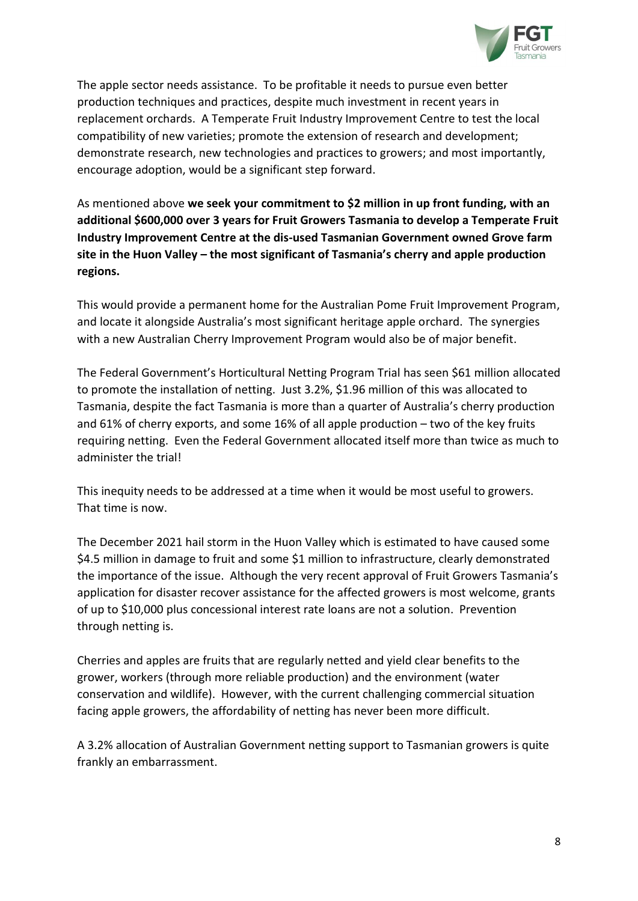

The apple sector needs assistance. To be profitable it needs to pursue even better production techniques and practices, despite much investment in recent years in replacement orchards. A Temperate Fruit Industry Improvement Centre to test the local compatibility of new varieties; promote the extension of research and development; demonstrate research, new technologies and practices to growers; and most importantly, encourage adoption, would be a significant step forward.

As mentioned above **we seek your commitment to \$2 million in up front funding, with an additional \$600,000 over 3 years for Fruit Growers Tasmania to develop a Temperate Fruit Industry Improvement Centre at the dis-used Tasmanian Government owned Grove farm site in the Huon Valley – the most significant of Tasmania's cherry and apple production regions.**

This would provide a permanent home for the Australian Pome Fruit Improvement Program, and locate it alongside Australia's most significant heritage apple orchard. The synergies with a new Australian Cherry Improvement Program would also be of major benefit.

The Federal Government's Horticultural Netting Program Trial has seen \$61 million allocated to promote the installation of netting. Just 3.2%, \$1.96 million of this was allocated to Tasmania, despite the fact Tasmania is more than a quarter of Australia's cherry production and 61% of cherry exports, and some 16% of all apple production – two of the key fruits requiring netting. Even the Federal Government allocated itself more than twice as much to administer the trial!

This inequity needs to be addressed at a time when it would be most useful to growers. That time is now.

The December 2021 hail storm in the Huon Valley which is estimated to have caused some \$4.5 million in damage to fruit and some \$1 million to infrastructure, clearly demonstrated the importance of the issue. Although the very recent approval of Fruit Growers Tasmania's application for disaster recover assistance for the affected growers is most welcome, grants of up to \$10,000 plus concessional interest rate loans are not a solution. Prevention through netting is.

Cherries and apples are fruits that are regularly netted and yield clear benefits to the grower, workers (through more reliable production) and the environment (water conservation and wildlife). However, with the current challenging commercial situation facing apple growers, the affordability of netting has never been more difficult.

A 3.2% allocation of Australian Government netting support to Tasmanian growers is quite frankly an embarrassment.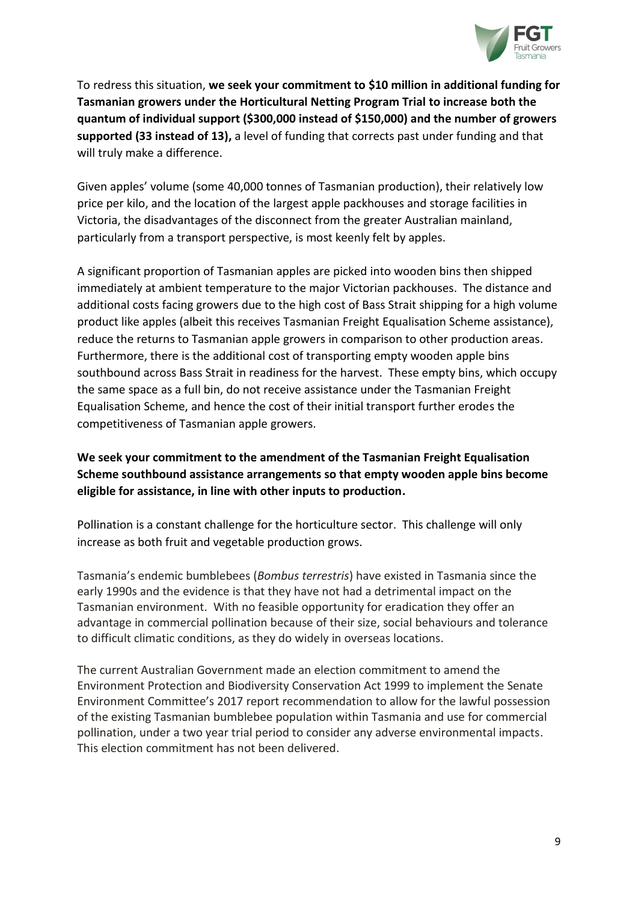

To redress this situation, **we seek your commitment to \$10 million in additional funding for Tasmanian growers under the Horticultural Netting Program Trial to increase both the quantum of individual support (\$300,000 instead of \$150,000) and the number of growers supported (33 instead of 13),** a level of funding that corrects past under funding and that will truly make a difference.

Given apples' volume (some 40,000 tonnes of Tasmanian production), their relatively low price per kilo, and the location of the largest apple packhouses and storage facilities in Victoria, the disadvantages of the disconnect from the greater Australian mainland, particularly from a transport perspective, is most keenly felt by apples.

A significant proportion of Tasmanian apples are picked into wooden bins then shipped immediately at ambient temperature to the major Victorian packhouses. The distance and additional costs facing growers due to the high cost of Bass Strait shipping for a high volume product like apples (albeit this receives Tasmanian Freight Equalisation Scheme assistance), reduce the returns to Tasmanian apple growers in comparison to other production areas. Furthermore, there is the additional cost of transporting empty wooden apple bins southbound across Bass Strait in readiness for the harvest. These empty bins, which occupy the same space as a full bin, do not receive assistance under the Tasmanian Freight Equalisation Scheme, and hence the cost of their initial transport further erodes the competitiveness of Tasmanian apple growers.

## **We seek your commitment to the amendment of the Tasmanian Freight Equalisation Scheme southbound assistance arrangements so that empty wooden apple bins become eligible for assistance, in line with other inputs to production.**

Pollination is a constant challenge for the horticulture sector. This challenge will only increase as both fruit and vegetable production grows.

Tasmania's endemic bumblebees (*Bombus terrestris*) have existed in Tasmania since the early 1990s and the evidence is that they have not had a detrimental impact on the Tasmanian environment. With no feasible opportunity for eradication they offer an advantage in commercial pollination because of their size, social behaviours and tolerance to difficult climatic conditions, as they do widely in overseas locations.

The current Australian Government made an election commitment to amend the Environment Protection and Biodiversity Conservation Act 1999 to implement the Senate Environment Committee's 2017 report recommendation to allow for the lawful possession of the existing Tasmanian bumblebee population within Tasmania and use for commercial pollination, under a two year trial period to consider any adverse environmental impacts. This election commitment has not been delivered.